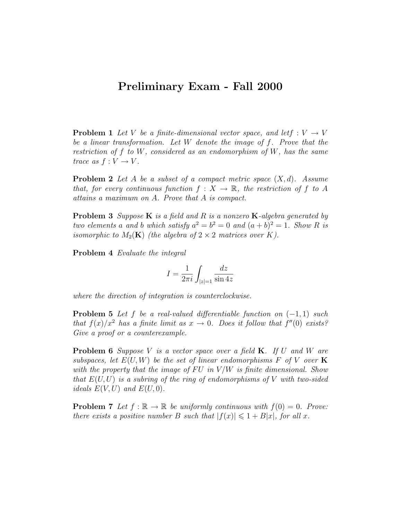## Preliminary Exam - Fall 2000

**Problem 1** Let V be a finite-dimensional vector space, and lett  $: V \rightarrow V$ be a linear transformation. Let W denote the image of f. Prove that the restriction of f to W, considered as an endomorphism of W, has the same trace as  $f: V \to V$ .

**Problem 2** Let A be a subset of a compact metric space  $(X, d)$ . Assume that, for every continuous function  $f: X \to \mathbb{R}$ , the restriction of f to A attains a maximum on A. Prove that A is compact.

**Problem 3** Suppose  $K$  is a field and  $R$  is a nonzero  $K$ -algebra generated by two elements a and b which satisfy  $a^2 = b^2 = 0$  and  $(a + b)^2 = 1$ . Show R is isomorphic to  $M_2(K)$  (the algebra of  $2 \times 2$  matrices over K).

Problem 4 Evaluate the integral

$$
I = \frac{1}{2\pi i} \int_{|z|=1} \frac{dz}{\sin 4z}
$$

where the direction of integration is counterclockwise.

**Problem 5** Let f be a real-valued differentiable function on  $(-1, 1)$  such that  $f(x)/x^2$  has a finite limit as  $x \to 0$ . Does it follow that  $f''(0)$  exists? Give a proof or a counterexample.

**Problem 6** Suppose V is a vector space over a field  $\mathbf{K}$ . If U and W are subspaces, let  $E(U, W)$  be the set of linear endomorphisms F of V over K with the property that the image of FU in  $V/W$  is finite dimensional. Show that  $E(U, U)$  is a subring of the ring of endomorphisms of V with two-sided ideals  $E(V, U)$  and  $E(U, 0)$ .

**Problem 7** Let  $f : \mathbb{R} \to \mathbb{R}$  be uniformly continuous with  $f(0) = 0$ . Prove: there exists a positive number B such that  $|f(x)| \leq 1 + B|x|$ , for all x.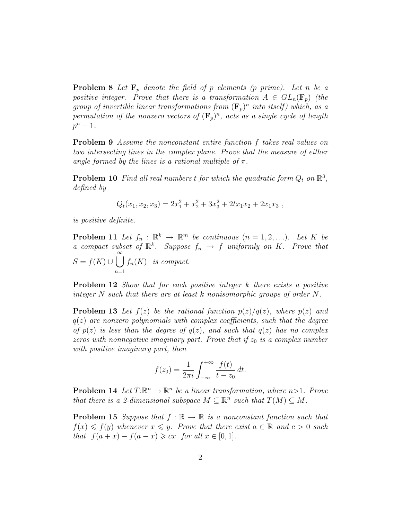**Problem 8** Let  $\mathbf{F}_p$  denote the field of p elements (p prime). Let n be a positive integer. Prove that there is a transformation  $A \in GL_n(\mathbf{F}_p)$  (the group of invertible linear transformations from  $(\mathbf{F}_p)^n$  into itself) which, as a permutation of the nonzero vectors of  $(\mathbf{F}_p)^n$ , acts as a single cycle of length  $p^n-1$ .

Problem 9 Assume the nonconstant entire function f takes real values on two intersecting lines in the complex plane. Prove that the measure of either angle formed by the lines is a rational multiple of  $\pi$ .

**Problem 10** Find all real numbers t for which the quadratic form  $Q_t$  on  $\mathbb{R}^3$ , defined by

$$
Q_t(x_1, x_2, x_3) = 2x_1^2 + x_2^2 + 3x_3^2 + 2tx_1x_2 + 2x_1x_3,
$$

is positive definite.

**Problem 11** Let  $f_n : \mathbb{R}^k \to \mathbb{R}^m$  be continuous  $(n = 1, 2, \ldots)$ . Let K be a compact subset of  $\mathbb{R}^k$ . Suppose  $f_n \to f$  uniformly on K. Prove that  $S = f(K) \cup \bigcup_{k=1}^{\infty}$  $n=1$  $f_n(K)$  is compact.

**Problem 12** Show that for each positive integer k there exists a positive integer  $N$  such that there are at least k nonisomorphic groups of order  $N$ .

**Problem 13** Let  $f(z)$  be the rational function  $p(z)/q(z)$ , where  $p(z)$  and  $q(z)$  are nonzero polynomials with complex coefficients, such that the degree of  $p(z)$  is less than the degree of  $q(z)$ , and such that  $q(z)$  has no complex zeros with nonnegative imaginary part. Prove that if  $z_0$  is a complex number with positive imaginary part, then

$$
f(z_0) = \frac{1}{2\pi i} \int_{-\infty}^{+\infty} \frac{f(t)}{t - z_0} dt.
$$

**Problem 14** Let  $T: \mathbb{R}^n \to \mathbb{R}^n$  be a linear transformation, where  $n>1$ . Prove that there is a 2-dimensional subspace  $M \subseteq \mathbb{R}^n$  such that  $T(M) \subseteq M$ .

**Problem 15** Suppose that  $f : \mathbb{R} \to \mathbb{R}$  is a nonconstant function such that  $f(x) \leq f(y)$  whenever  $x \leq y$ . Prove that there exist  $a \in \mathbb{R}$  and  $c > 0$  such that  $f(a+x) - f(a-x) \geqslant cx$  for all  $x \in [0,1]$ .